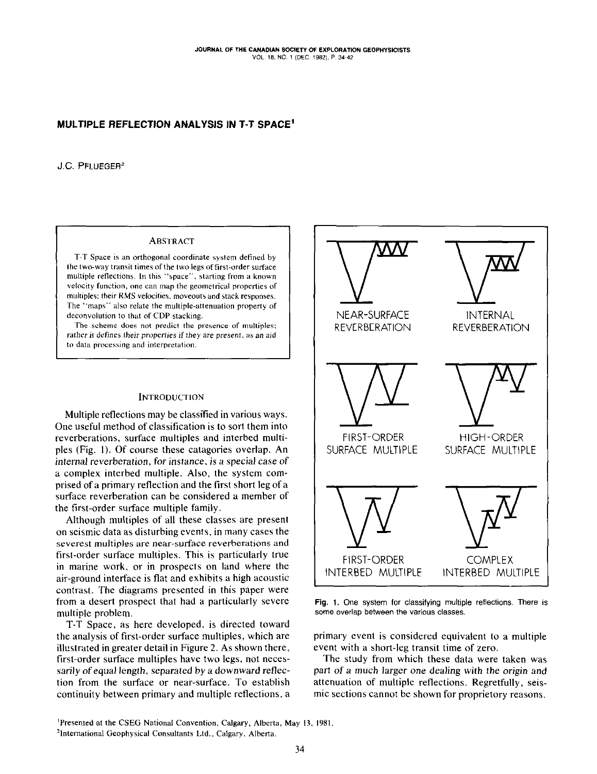# MULTIPLE REFLECTION ANALYSIS IN T-T SPACE'

J.C. PFLUEGER<sup>2</sup>

# **ABSTRACT**

T-T Space is an orthogonal coordinate system defined by the two-way transit times of the two legs of first-order surface multiple reflections. In this "space", starting from a known velocity function. one can map Ihe geometrical properties of multiples: their RMS velocities, moveouts and stack responses. The "maps" also relate the multiple-attenuation property of deconvolution to that of CDP stacking.

The scheme does not predict the presence of multiples; rather it defines their properties if they are present, as an aid The maps also telled the malippe intendation property of<br>deconvolution to that of CDP stacking.<br>The scheme does not predict the presence of multiples;<br>rather it defines their properties if they are present, as an aid<br>to da

### **INTRODUCTION**

Multiple reflections may be classified in various ways. One useful method of classification is to sort them into reverberations, surface multiples and interbed multiples (Fig. I). Of course these catagories overlap. An internal reverberation, for instance, is a special case of a complex interbed multiple. Also, the system comprised of a primary reflection and the first short leg of a surface reverberation can be considered a member of the first-order surface multiple family.

Although multiples of all these classes are present on seismic data as disturbing events, in many cases the severest multiples are near-surface reverberations and first-order surface multiples. This is particularly true in marine work, or in prospects on land where the air-ground interface is flat and exhibits a high acoustic contrast. The diagrams presented in this paper were from a desert prospect that had a particularly severe multiple problem.

T-T Space, as here developed, is directed toward the analysis of first-order surface multiples, which are illustrated in greater detail in Figure 2. As shown there, first-order surface multiples have two legs, not necessarily of equal length, separated by a downward reflection from the surface or near-surface. To establish continuity between primary and multiple reflections, a



Fig. 1, One system for classifying multiple reflections. There is some overlap between the various classes.

primary event is considered equivalent to a multiple event with a short-leg transit time of zero.

The study from which these data were taken was part of a much larger one dealing with the origin and attenuation of multiple reflections. Regretfully, seismic sections cannot be shown for proprietory reasons.

'Presented at the CSEG National Convention, Calgary, Alberta, May 13. 1981

<sup>21</sup>nternational Geophysical Consultants Ltd.. Calgary. Alberta.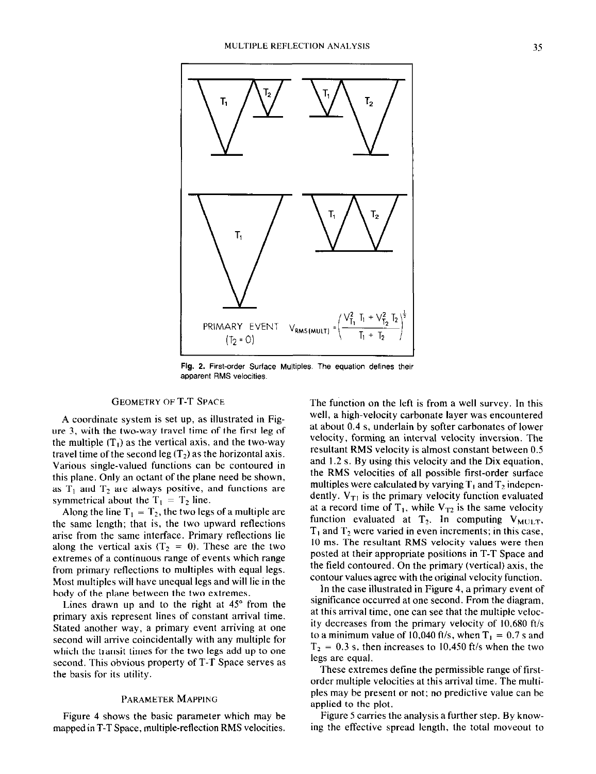

Fig. 2. First-order Surface Multiples. The equation defines their apparent RMS velocities.

# GEOMETRY OF T-T SPACE

A coordinate system is set up, as illustrated in Figure 3, with the two-way travel time of the first leg of the multiple  $(T_1)$  as the vertical axis, and the two-way travel time of the second leg  $(T_2)$  as the horizontal axis. Various single-valued functions can be contoured in this plane. Only an octant of the plane need be shown, as  $T_1$  and  $T_2$  are always positive, and functions are symmetrical about the  $T_1 = T_2$  line.

Along the line  $T_1 = T_2$ , the two legs of a multiple are the same length; that is, the two upward reflections arise from the same interface. Primary reflections lie along the vertical axis  $(T_2 = 0)$ . These are the two extremes of a continuous range of events which range from primary reflections to multiples with equal legs. Most multiples will have unequal legs and will lie in the body of the plane between the two extremes.

Lines drawn up and to the right at  $45^{\circ}$  from the primary axis represent lines of constant arrival time. Stated another way, a primary event arriving at one second will arrive coincidentally with any multiple for which the transit times for the two legs add up to one second. This obvious property of T-T Space serves as the basis for its utility.

#### PARAMETER MAPPING

Figure 4 shows the basic parameter which may be mapped in T-T Space, multiple-reflection RMS velocities.

The function on the left is from a well survey. In this well, a high-velocity carbonate layer was encountered at about 0.4 s, underlain by softer carbonates of lower velocity, forming an interval velocity inversion. The resultant RMS velocity is almost constant between 0.5 and 1.2 s. By using this velocity and the Dix equation, the RMS velocities of all possible first-order surface multiples were calculated by varying  $T_1$  and  $T_2$  independently.  $V_{T1}$  is the primary velocity function evaluated at a record time of  $T_1$ , while  $V_{T_2}$  is the same velocity function evaluated at  $T_2$ . In computing  $V_{MULT}$ ,  $T_1$  and  $T_2$  were varied in even increments; in this case, IO ms. The resultant RMS velocity values were then posted at their appropriate positions in T-T Space and the field contoured. On the primary (vertical) axis, the contour values agree with the original velocity function.

In the case illustrated in Figure 4, a primary event of significance occurred at one second. From the diagram, at this arrival time, one can see that the multiple velocity decreases from the primary velocity of 10,680 ft/s to a minimum value of 10,040 ft/s, when  $T_1 = 0.7$  s and  $T_2 = 0.3$  s, then increases to 10,450 ft/s when the two legs are equal.

These extremes define the permissible range of firstorder multiple velocities at this arrival time. The multiples may be present or not; no predictive value can be applied to the plot.

Figure 5 carries the analysis a further step. By knowing the effective spread length, the total moveout to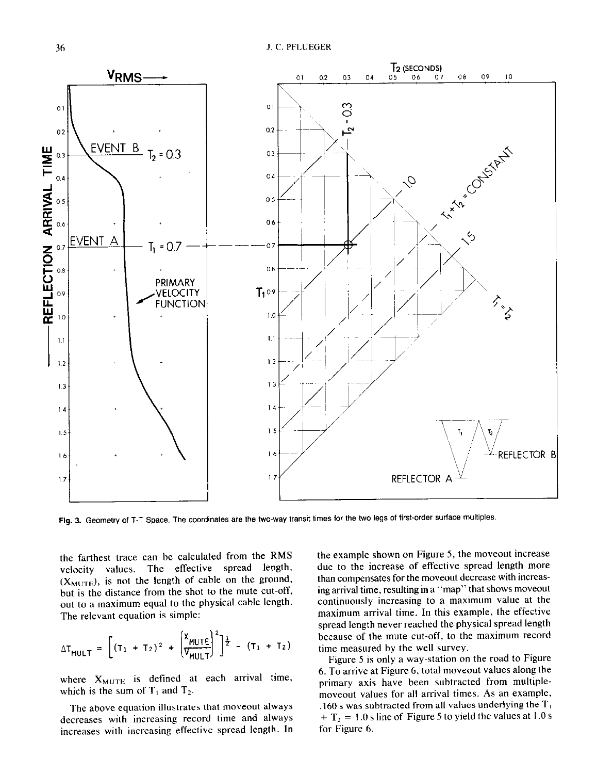

Fig. 3. Geometry of T-T Space. The coordinates are the two-way transit times for the two legs of first-order surface multiples.

the farthest trace can be calculated from the RMS velocity values. The effective spread length,  $(X_{MUTE})$ , is not the length of cable on the ground, but is the distance from the shot to the mute cut-off, out to a maximum equal to the physical cable length. The relevant equation is simple:

$$
\Delta T_{MULT} = \left[ (T_1 + T_2)^2 + \left( \frac{X_{MUTE}}{V_{MULT}} \right)^2 \right]^{\frac{1}{2}} - (T_1 + T_2)
$$

where  $X_{\text{MULTE}}$  is defined at each arrival time, which is the sum of  $T_1$  and  $T_2$ .

The above equation illustrates that moveout always decreases with increasing record time and always increases with increasing effective spread length. In the example shown on Figure 5, the moveout increase due to the increase of effective spread length more than compensates for the moveout decrease with increasing arrival time, resulting in a "map" that shows moveout continuously increasing to a maximum value at the maximum arrival time. In this example, the effective spread length never reached the physical spread length because of the mute cut-off, to the maximum record time measured by the well survey.

Figure 5 is only a way-station on the road to Figure 6. To arrive at Figure 6, total moveout values along the primary axis have been subtracted from multiplemoveout values for all arrival times. As an example, .160 s was subtracted from all values underlying the  $T_1$  $+ T_2 = 1.0$  s line of Figure 5 to yield the values at 1.0 s for Figure 6.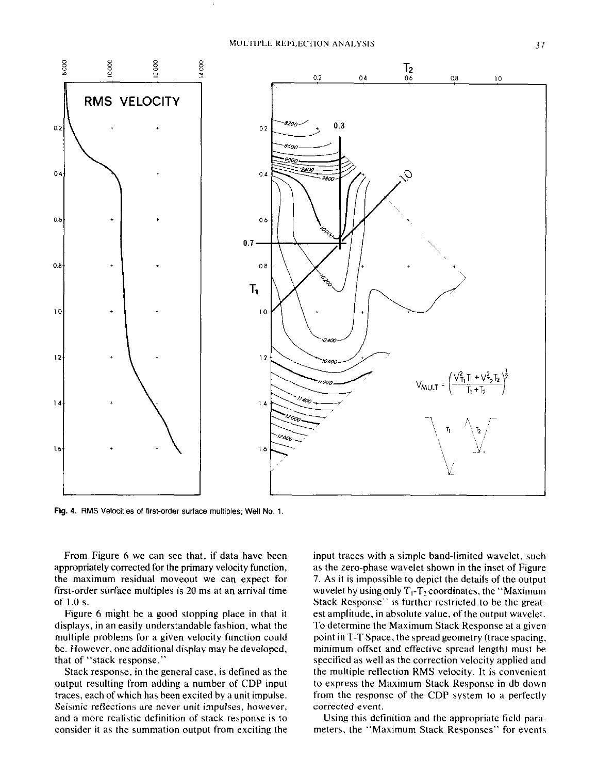

Fig. 4. RMS Velocities of first-order surface multiples; Well No. 1.

From Figure 6 we can see that, if data have been appropriately corrected for the primary velocity function, the maximum residual moveout we can expect for first-order surface multiples is 20 ms at an arrival time of I.0 s.

Figure 6 might be a good stopping place in that it displays, in an easily understandable fashion, what the multiple problems for a given velocity function could be. However, one additional display may be developed. that of "stack response."

Stack response, in the general case, is defined as the output resulting from adding a number of CDP input traces, each of which has been excited by a unit impulse. Seismic reflections are never unit impulses, however, and a more realistic definition of stack response is to consider it as the summation output from exciting the input traces with a simple band-limited wavelet, such as the zero-phase wavelet shown in the inset of Figure 7. As it is impossible to depict the details of the output wavelet by using only  $T_1$ -T<sub>2</sub> coordinates, the "Maximum" Stack Response" is further restricted to be the greatest amplitude, in absolute value, of the output wavelet. To determine the Maximum Stack Response at a given point in T-T Space, the spread geometry (trace spacing. minimum offset and effective spread length) must be specified as well as the correction velocity applied and the multiple reflection RMS velocity. It is convenient to express the Maximum Stack Response in db down from the response of the CDP system to a perfectly corrected event.

Using this definition and the appropriate field parameters, the "Maximum Stack Responses" for events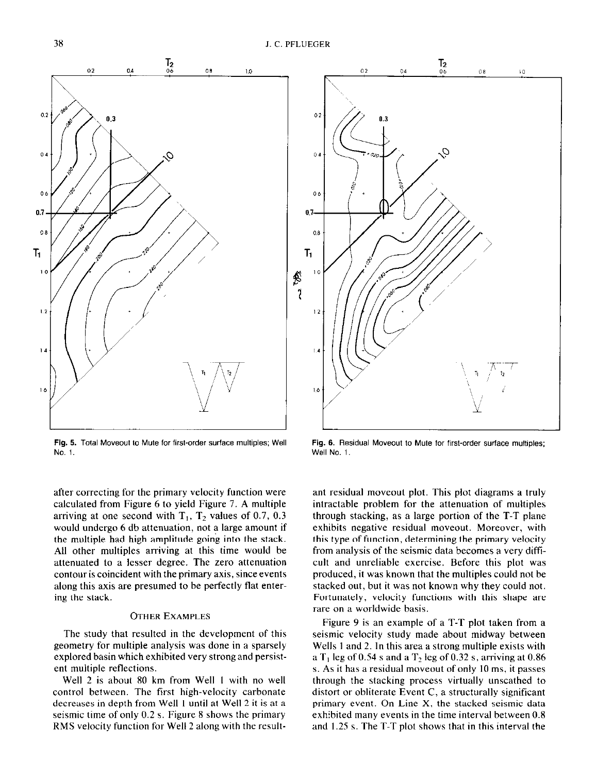

Fig. 5. Total Moveout to Mute for first-order surface multiples; Well NO. 1.

after correcting for the primary velocity function were calculated from Figure 6 to yield Figure 7. A multiple arriving at one second with  $T_1$ ,  $T_2$  values of 0.7, 0.3 would undergo 6 db attenuation, not a large amount if the multiple had high amplitude going into the stack. All other multiples arriving at this time would be attenuated to a lesser degree. The zero attenuation contour is coincident with the primary axis, since events along this axis are presumed to be perfectly flat entering the stack.

#### **OTHER EXAMPLES**

The study that resulted in the development of this geometry for multiple analysis was done in a sparsely explored basin which exhibited very strong and persistent multiple reflections.

Well 2 is about 80 km from Well 1 with no well control between. The first high-velocity carbonate decreases in depth from Well I until at Well 2 it is at a seismic time of only  $0.2$  s. Figure 8 shows the primary RMS velocity function for Well 2 along with the result-



Fig. 6. Residual Moveout to Mute for first-order surface multiples; Well No. 1.

ant residual moveout plot. This plot diagrams a truly intractable problem for the attenuation of multiples through stacking, as a large portion of the T-T plane exhibits negative residual moveout. Moreover, with this type of function, determining the primary velocity from analysis of the seismic data becomes a very difficult and unreliable exercise. Before this plot was produced, it was known that the multiples could not be stacked out, but it was not known why they could not. Fortunately, velocity functions with this shape are rare on a worldwide basis.

Figure 9 is an example of a T-T plot taken from a seismic velocity study made about midway between Wells I and 2. In this area a strong multiple exists with a  $T<sub>1</sub>$  leg of 0.54 s and a  $T<sub>2</sub>$  leg of 0.32 s, arriving at 0.86 s. As it has a residual moveout of only IO ms, it passes through the stacking process virtually unscathed to distort or obliterate Event C, a structurally significant primary event. On Line X, the stacked seismic data exhibited many events in the time interval between 0.8 and I.25 s. The T-T plot shows that in this interval the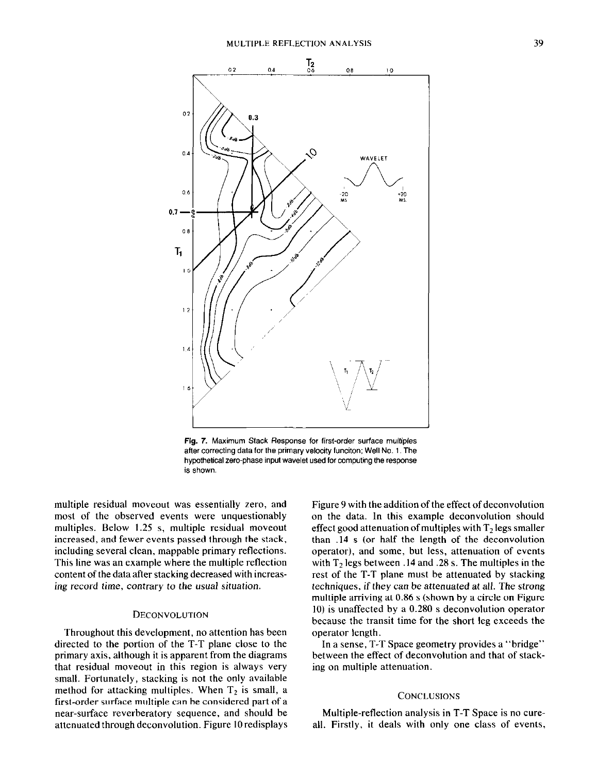

Fig. 7. Maximum Stack Response for first-order surface multiples after correcting data for the primary velocity funciton; Well No. 1. The hypothetical zero-phase input wavelet used for computing the response is shown.

multiple residual moveout was essentially zero, and most of the observed events were unquestionably multiples. Below 1.25 s, multiple residual moveout increased, and fewer events passed through the stack, including several clean, mappable primary reflections. This line was an example where the multiple reflection content of the data after stacking decreased with increasing record time, contrary to the usual situation.

### DECONVOLUTION

Throughout this development, no attention has been directed to the portion of the T-T plane close to the primary axis, although it is apparent from the diagrams that residual moveout in this region is always very small. Fortunately, stacking is not the only available method for attacking multiples. When  $T<sub>2</sub>$  is small, a first-order surface multiple can be considered part of a near-surface reverberatory sequence, and should be attenuated through deconvolution. Figure IO redisplays

Figure 9 with the addition of the effect of deconvolution on the data. In this example deconvolution should effect good attenuation of multiples with  $T<sub>2</sub>$  legs smaller than .I4 s (or half the length of the deconvolution operator), and some, but less, attenuation of events with  $T<sub>2</sub>$  legs between 14 and 28 s. The multiples in the rest of the T-T plane must be attenuated by stacking techniques, if they can be attenuated at all. The strong multiple arriving at 0.86 s (shown by a circle on Figure IO) is unaffected by a 0.280 s deconvolution operator because the transit time for the short leg exceeds the operator length.

In a sense, T-T Space geometry provides a "bridge" between the effect of deconvolution and that of stacking on multiple attenuation.

#### **CONCLUSIONS**

Multiple-reflection analysis in T-T Space is no cureall. Firstly, it deals with only one class of events,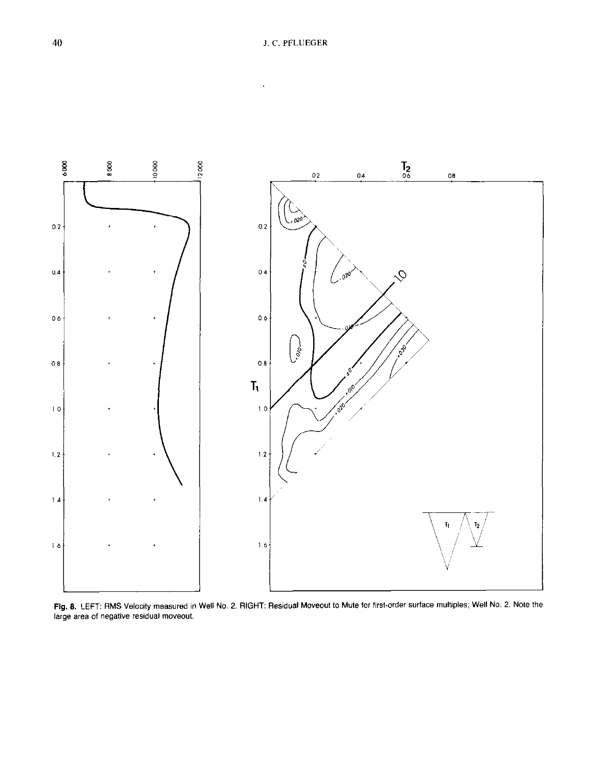

Fig. 8. LEFT: RMS Velocity measured in Well No. 2. RIGHT: Residual Moveout to Mute for first-order surface multiples; Well No. 2. Note the large area of negative residual moveout.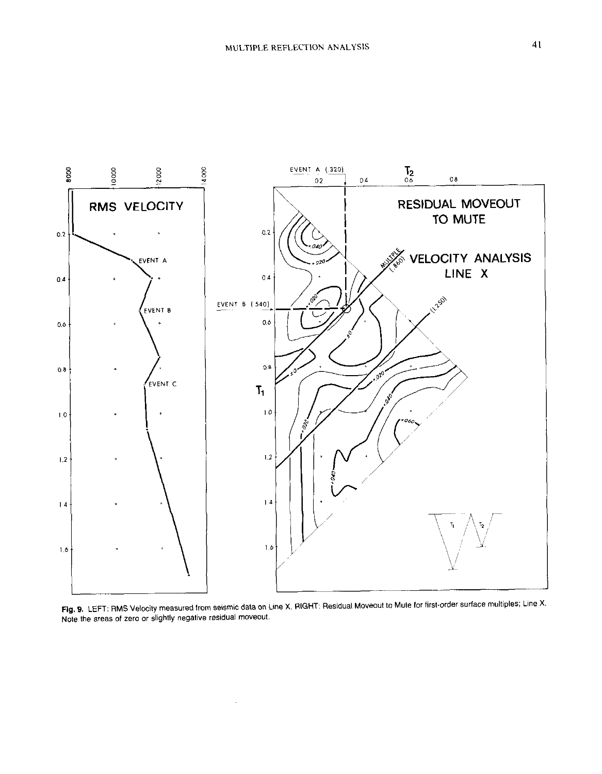

Fig. 9. LEFT: RMS Velocity measured from seismic data on Line X. RIGHT: Residual Moveout to Mute for first-order surface multiples; Line X. Note the areas of zero or slightly negative residual moveout.